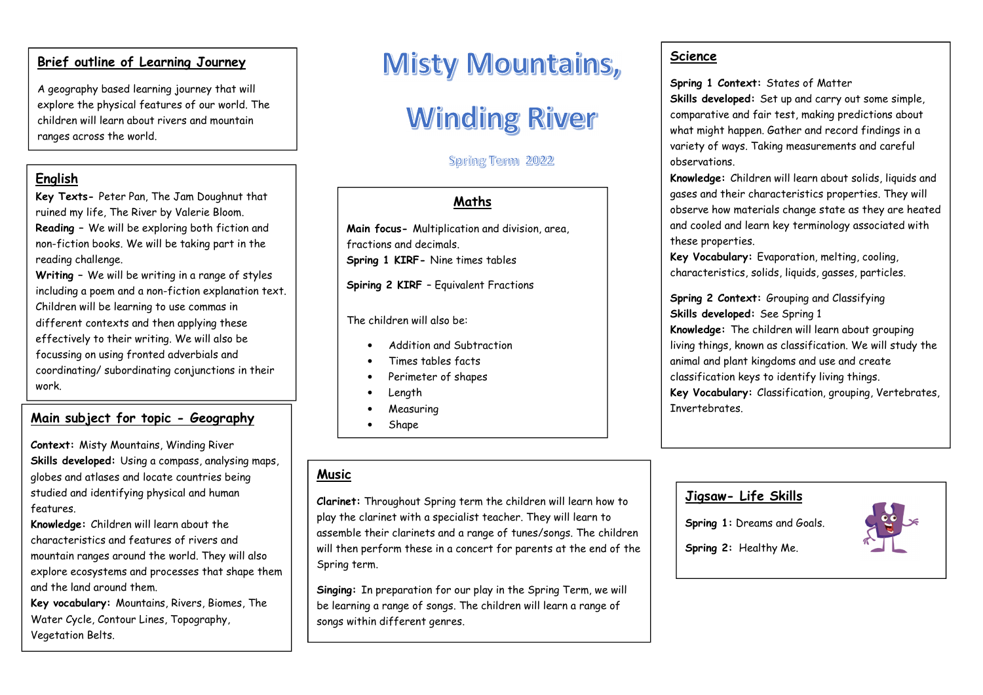#### **Brief outline of Learning Journey**

A geography based learning journey that will explore the physical features of our world. The children will learn about rivers and mountain ranges across the world.

#### **English**

 **Key Texts-** Peter Pan, The Jam Doughnut that ruined my life, The River by Valerie Bloom. **Reading –** We will be exploring both fiction and non-fiction books. We will be taking part in the reading challenge.

**Writing –** We will be writing in a range of styles including a poem and a non-fiction explanation text. Children will be learning to use commas in different contexts and then applying these effectively to their writing. We will also be focussing on using fronted adverbials and coordinating/ subordinating conjunctions in their work.

## **Main subject for topic- Geography**

**Context:** Misty Mountains, Winding River **Skills developed:** Using a compass, analysing maps, globes and atlases and locate countries being studied and identifying physical and human features.

**Knowledge:** Children will learn about the characteristics and features of rivers and mountain ranges around the world. They will also explore ecosystems and processes that shape them and the land around them.

**Key vocabulary:** Mountains, Rivers, Biomes, The Water Cycle, Contour Lines, Topography, Vegetation Belts.

## **Misty Mountains,**

# **Winding River**

## Spring Term 2022

## **Maths**

**Main focus-** Multiplication and division, area, fractions and decimals.**Spring 1 KIRF-** Nine times tables

**Spiring 2 KIRF** – Equivalent Fractions

The children will also be:

- •Addition and Subtraction
- •Times tables facts
- Perimeter of shapes •
- •Length
- Measuring•
- •Shape

## **Music**

**Clarinet:** Throughout Spring term the children will learn how to play the clarinet with a specialist teacher. They will learn to assemble their clarinets and a range of tunes/songs. The children will then perform these in a concert for parents at the end of the Spring term.

**Singing:** In preparation for our play in the Spring Term, we will be learning a range of songs. The children will learn a range of songs within different genres.

#### **Science**

**Spring 1 Context:** States of Matter **Skills developed:** Set up and carry out some simple, comparative and fair test, making predictions about what might happen. Gather and record findings in a variety of ways. Taking measurements and careful observations.

**Knowledge:** Children will learn about solids, liquids and gases and their characteristics properties. They will observe how materials change state as they are heated and cooled and learn key terminology associated with these properties.

**Key Vocabulary:** Evaporation, melting, cooling, characteristics, solids, liquids, gasses, particles.

**Spring 2 Context:** Grouping and Classifying **Skills developed:** See Spring 1 **Knowledge:** The children will learn about grouping living things, known as classification. We will study the animal and plant kingdoms and use and create classification keys to identify living things. **Key Vocabulary:** Classification, grouping, Vertebrates, **T**nvertebrates

## **Jigsaw- Life Skills**

**Spring 1:** Dreams and Goals.



**Spring 2:** Healthy Me.